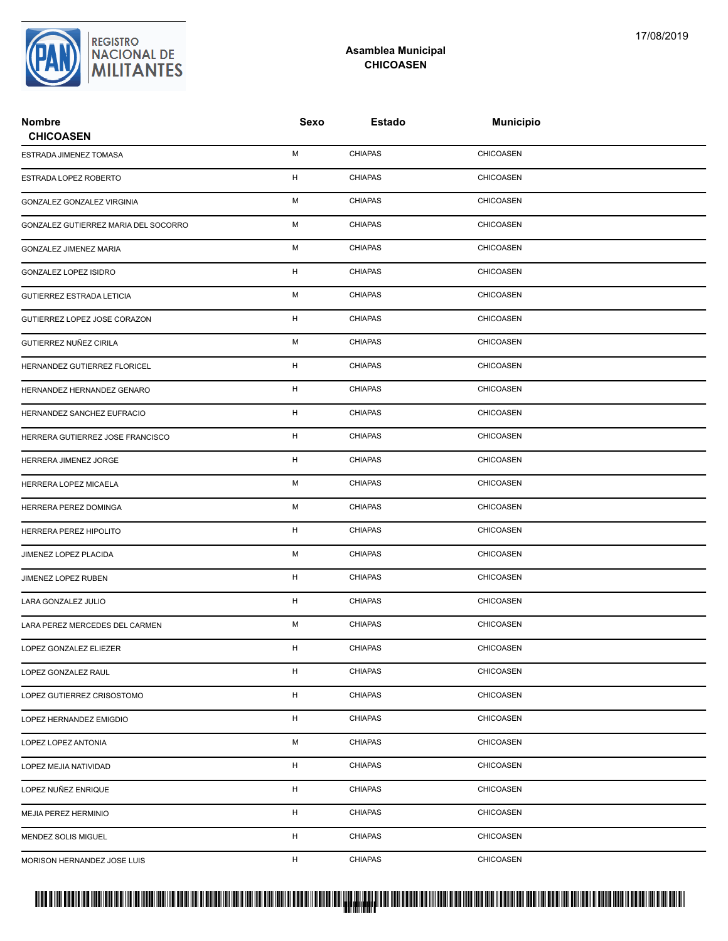

## **Asamblea Municipal CHICOASEN**

| <b>Nombre</b><br><b>CHICOASEN</b>    | Sexo         | <b>Estado</b>  | <b>Municipio</b> |
|--------------------------------------|--------------|----------------|------------------|
| ESTRADA JIMENEZ TOMASA               | м            | <b>CHIAPAS</b> | CHICOASEN        |
| ESTRADA LOPEZ ROBERTO                | н            | <b>CHIAPAS</b> | <b>CHICOASEN</b> |
| GONZALEZ GONZALEZ VIRGINIA           | М            | <b>CHIAPAS</b> | <b>CHICOASEN</b> |
| GONZALEZ GUTIERREZ MARIA DEL SOCORRO | М            | <b>CHIAPAS</b> | <b>CHICOASEN</b> |
| GONZALEZ JIMENEZ MARIA               | М            | <b>CHIAPAS</b> | CHICOASEN        |
| <b>GONZALEZ LOPEZ ISIDRO</b>         | H            | <b>CHIAPAS</b> | CHICOASEN        |
| GUTIERREZ ESTRADA LETICIA            | М            | <b>CHIAPAS</b> | <b>CHICOASEN</b> |
| GUTIERREZ LOPEZ JOSE CORAZON         | н            | <b>CHIAPAS</b> | <b>CHICOASEN</b> |
| GUTIERREZ NUÑEZ CIRILA               | М            | <b>CHIAPAS</b> | <b>CHICOASEN</b> |
| HERNANDEZ GUTIERREZ FLORICEL         | H            | <b>CHIAPAS</b> | <b>CHICOASEN</b> |
| HERNANDEZ HERNANDEZ GENARO           | H            | <b>CHIAPAS</b> | CHICOASEN        |
| HERNANDEZ SANCHEZ EUFRACIO           | н            | <b>CHIAPAS</b> | CHICOASEN        |
| HERRERA GUTIERREZ JOSE FRANCISCO     | H            | <b>CHIAPAS</b> | <b>CHICOASEN</b> |
| HERRERA JIMENEZ JORGE                | H            | <b>CHIAPAS</b> | <b>CHICOASEN</b> |
| HERRERA LOPEZ MICAELA                | м            | <b>CHIAPAS</b> | <b>CHICOASEN</b> |
| HERRERA PEREZ DOMINGA                | М            | <b>CHIAPAS</b> | CHICOASEN        |
| HERRERA PEREZ HIPOLITO               | н            | <b>CHIAPAS</b> | <b>CHICOASEN</b> |
| JIMENEZ LOPEZ PLACIDA                | М            | <b>CHIAPAS</b> | <b>CHICOASEN</b> |
| JIMENEZ LOPEZ RUBEN                  | H            | <b>CHIAPAS</b> | <b>CHICOASEN</b> |
| LARA GONZALEZ JULIO                  | H            | <b>CHIAPAS</b> | CHICOASEN        |
| LARA PEREZ MERCEDES DEL CARMEN       | м            | <b>CHIAPAS</b> | CHICOASEN        |
| LOPEZ GONZALEZ ELIEZER               | H            | CHIAPAS        | CHICOASEN        |
| LOPEZ GONZALEZ RAUL                  | $\mathsf{H}$ | <b>CHIAPAS</b> | CHICOASEN        |
| LOPEZ GUTIERREZ CRISOSTOMO           | H            | <b>CHIAPAS</b> | <b>CHICOASEN</b> |
| LOPEZ HERNANDEZ EMIGDIO              | H            | <b>CHIAPAS</b> | <b>CHICOASEN</b> |
| LOPEZ LOPEZ ANTONIA                  | М            | <b>CHIAPAS</b> | CHICOASEN        |
| LOPEZ MEJIA NATIVIDAD                | H            | <b>CHIAPAS</b> | <b>CHICOASEN</b> |
| LOPEZ NUÑEZ ENRIQUE                  | H            | <b>CHIAPAS</b> | <b>CHICOASEN</b> |
| MEJIA PEREZ HERMINIO                 | H            | <b>CHIAPAS</b> | <b>CHICOASEN</b> |
| MENDEZ SOLIS MIGUEL                  | H            | <b>CHIAPAS</b> | <b>CHICOASEN</b> |
| MORISON HERNANDEZ JOSE LUIS          | H            | <b>CHIAPAS</b> | CHICOASEN        |

## PROTUCCION SU REGION DA SU REGIONAL DE LA SULTA SU REGIONAL DE MILITANTES CONTRADO NACIONAL DE MILITANTES CONTRADO N <mark>. Pangyakan k</mark>